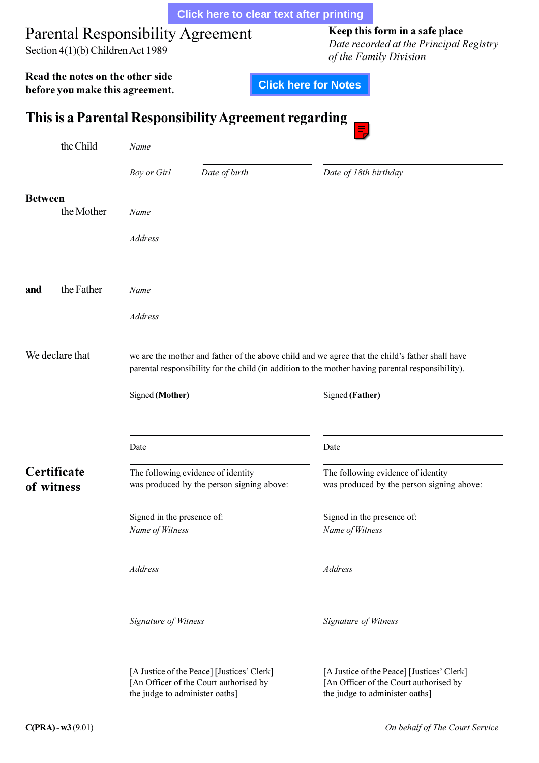<span id="page-0-0"></span>

|                                                                               |                                                                                                                                                                                                      | <b>Click here to clear text after printing</b>        |                                                                                                                        |  |
|-------------------------------------------------------------------------------|------------------------------------------------------------------------------------------------------------------------------------------------------------------------------------------------------|-------------------------------------------------------|------------------------------------------------------------------------------------------------------------------------|--|
| <b>Parental Responsibility Agreement</b><br>Section 4(1)(b) Children Act 1989 |                                                                                                                                                                                                      |                                                       | Keep this form in a safe place<br>Date recorded at the Principal Registry<br>of the Family Division                    |  |
| Read the notes on the other side<br>before you make this agreement.           |                                                                                                                                                                                                      |                                                       | <b>Click here for Notes</b>                                                                                            |  |
|                                                                               |                                                                                                                                                                                                      | This is a Parental Responsibility Agreement regarding |                                                                                                                        |  |
| the Child                                                                     | Name                                                                                                                                                                                                 |                                                       |                                                                                                                        |  |
|                                                                               | <b>Boy or Girl</b>                                                                                                                                                                                   | Date of birth                                         | Date of 18th birthday                                                                                                  |  |
| <b>Between</b><br>the Mother                                                  | Name                                                                                                                                                                                                 |                                                       |                                                                                                                        |  |
|                                                                               | <b>Address</b>                                                                                                                                                                                       |                                                       |                                                                                                                        |  |
|                                                                               |                                                                                                                                                                                                      |                                                       |                                                                                                                        |  |
| the Father<br>and                                                             | Name                                                                                                                                                                                                 |                                                       |                                                                                                                        |  |
|                                                                               | <b>Address</b>                                                                                                                                                                                       |                                                       |                                                                                                                        |  |
| We declare that                                                               | we are the mother and father of the above child and we agree that the child's father shall have<br>parental responsibility for the child (in addition to the mother having parental responsibility). |                                                       |                                                                                                                        |  |
|                                                                               | Signed (Mother)                                                                                                                                                                                      |                                                       | Signed (Father)                                                                                                        |  |
|                                                                               | Date                                                                                                                                                                                                 |                                                       | Date                                                                                                                   |  |
| Certificate<br>of witness                                                     | The following evidence of identity                                                                                                                                                                   | was produced by the person signing above:             | The following evidence of identity<br>was produced by the person signing above:                                        |  |
|                                                                               | Signed in the presence of:<br>Name of Witness                                                                                                                                                        |                                                       | Signed in the presence of:<br>Name of Witness                                                                          |  |
|                                                                               | <b>Address</b>                                                                                                                                                                                       |                                                       | Address                                                                                                                |  |
|                                                                               | Signature of Witness                                                                                                                                                                                 |                                                       | <b>Signature of Witness</b>                                                                                            |  |
|                                                                               | [A Justice of the Peace] [Justices' Clerk]<br>[An Officer of the Court authorised by<br>the judge to administer oaths]                                                                               |                                                       | [A Justice of the Peace] [Justices' Clerk]<br>[An Officer of the Court authorised by<br>the judge to administer oaths] |  |